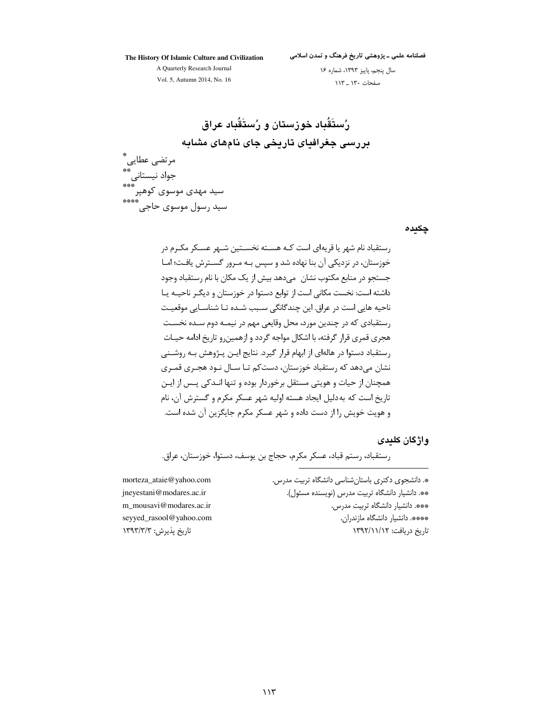The History Of Islamic Culture and Civilization

فصلنامه علمی ـ پژوهشی تاریخ فرهنگ و تمدن اسلامی

A Quarterly Research Journal Vol. 5, Autumn 2014, No. 16

سال پنجم، پاییز ١٣٩٣، شماره ١۶ صفحات ١٣٠ \_ ١١٣

رُستَقُباد خوزستان و رُستَقُباد عراق بررسی جغرافیای تاریخی جای نامهای مشابه مرتضى عطايى \_<br>\*\*\* جواد نیستانی<br>سید مهدی موسوی کوهپر\*\*\*\*<br>سید رسول موسوی حاجی

چکیدہ

رستقباد نام شهر یا قریهای است کـه هســته نخســتین شــهر عســکر مکــرم در خوزستان، در نزدیکی آن بنا نهاده شد و سپس بـه مـرور گسـترش یافـت؛ امـا جستجو در منابع مکتوب نشان ِ می۵هد بیش از یک مکان با نام رستقباد وجود داشته است: نخست مکانی است از توابع دستوا در خوزستان و دیگـر ناحیــه یــا ناحیه هایی است در عراق. این چندگانگی سـبب شـده تـا شناسـایی موقعیـت رستقبادي كه در چندين مورد، محل وقايعي مهم در نيمـه دوم سـده نخسـت هجری قمری قرار گرفته، با اشکال مواجه گردد و ازهمین و تاریخ ادامه حیـات رستقباد دستوا در هالهای از ابهام قرار گیرد. نتایج ایـن پـژوهش بـه روشـنی نشان مے دھد که رستقباد خوزستان، دست کم تـا سـال نـود هجـری قمـری همچنان از حیات و هویتی مستقل برخوردار بوده و تنها انـدکی پـس از ایـن تاریخ است که به دلیل ایجاد هسته اولیه شهر عسکر مکرم و گسترش آن، نام و هويت خويش را از دست داده و شهر عسكر مكرم جايگزين آن شده است.

#### وإژگان كلىدى

رستقباد، رستم قباد، عسکر مکرم، حجاج بن یوسف، دستوا، خوزستان، عراق.

\*. دانشجوی دکتری باستان شناسی دانشگاه تربیت مدرس. \*\* دانشیار دانشگاه تربیت مدرس (نویسنده مسئول). \*\*\*. دانشیار دانشگاه تربیت مدرس. \*\*\*\*. دانشیار دانشگاه مازندران. تاریخ دریافت: ۱۳۹۲/۱۱/۱۲

morteza\_ataie@yahoo.com jneyestani@modares.ac.ir m\_mousavi@modares.ac.ir seyyed\_rasool@yahoo.com تاريخ يذيرش: ١٣٩٣/٣/٣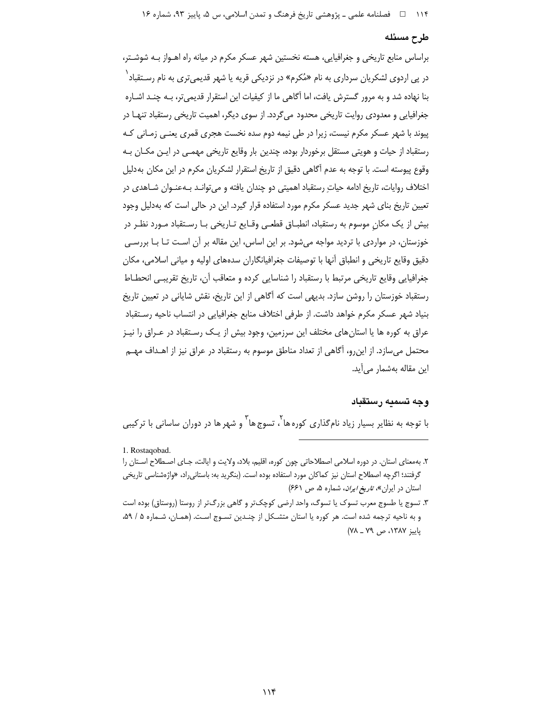#### طرح مسئله

براساس منابع تاریخی و جغرافیایی، هسته نخستین شهر عسکر مکرم در میانه راه اهـواز بـه شوشـتر، در پی اردوی لشکریان سرداری به نام «مُکرم» در نزدیکی قریه یا شهر قدیمیتری به نام رسـتقباد ٰ بنا نهاده شد و به مرور گسترش یافت، اما آگاهی ما از کیفیات این استقرار قدیمی تر، بـه چنـد اشـاره جغرافیایی و معدودی روایت تاریخی محدود می گردد. از سوی دیگر، اهمیت تاریخی رستقباد تنهـا در پیوند با شهر عسکر مکرم نیست، زیرا در طی نیمه دوم سده نخست هجری قمری یعنـی زمـانی کـه رستقباد از حیات و هویتی مستقل برخوردار بوده، چندین بار وقایع تاریخی مهمـی در ایـن مکـان بـه وقوع پیوسته است. با توجه به عدم آگاهی دقیق از تاریخ استقرار لشکریان مکرم در این مکان بهدلیل اختلاف روایات، تاریخ ادامه حیاتِ رستقباد اهمیتی دو چندان یافته و میتوانـد بـهعنـوان شـاهدی در تعیین تاریخ بنای شهر جدید عسکر مکرم مورد استفاده قرار گیرد. این در حالی است که بهدلیل وجود بیش از یک مکان موسوم به رستقباد، انطبـاق قطعـی وقـایع تـاریخی بـا رسـتقباد مـورد نظـر در خوزستان، در مواردی با تردید مواجه میشود. بر این اساس، این مقاله بر آن است تـا بـا بررسـی دقيق وقايع تاريخي و انطباق أنها با توصيفات جغرافيانگاران سدههاي اوليه و مياني اسلامي، مكان جغرافیایی وقایع تاریخی مرتبط با رستقباد را شناسایی کرده و متعاقب آن، تاریخ تقریبی انحطاط رستقباد خوزستان را روشن سازد. بدیهی است که آگاهی از این تاریخ، نقش شایانی در تعیین تاریخ بنیاد شهر عسکر مکرم خواهد داشت. از طرفی اختلاف منابع جغرافیایی در انتساب ناحیه رسـتقباد عراق به کوره ها یا استان های مختلف این سرزمین، وجود بیش از یـک رسـتقباد در عـراق را نیـز محتمل میٍسازد. از این٫و، آگاهی از تعداد مناطق موسوم به رستقباد در عراق نیز از اهـداف مهـم اين مقاله بەشمار مى آيد.

#### وجه تسميه رستقباد

با توجه به نظایر بسیار زیاد نامِگذاری کورهها ، تسوج ها <sup>۳</sup> و شهر ها در دوران ساسانی با ترکیبی

<sup>1.</sup> Rostaqobad.

۲. به معنای استان. در دوره اسلامی اصطلاحاتی چون کوره، اقلیم، بلاد، ولایت و ایالت، جـای اصـطلاح اسـتان را گرفتند؛ اگرچه اصطلاح استان نیز کماکان مورد استفاده بوده است. (بنگرید به: باستانیراد، «واژهشناسی تاریخی استان در ایران»، ت*اریخ ایران*، شماره ۵، ص ۶۶۱)

۳. تسوج یا طسوج معرب تسوک یا تسوگ، واحد ارضی کوچکتر و گاهی بزرگتر از روستا (روستاق) بوده است و به ناحیه ترجمه شده است. هر کوره یا استان متشکل از چنـدین تسـوج اسـت. (همـان، شـماره ۵ / ۵۹، پاییز ۱۳۸۷، ص ۷۹ ـ ۷۸)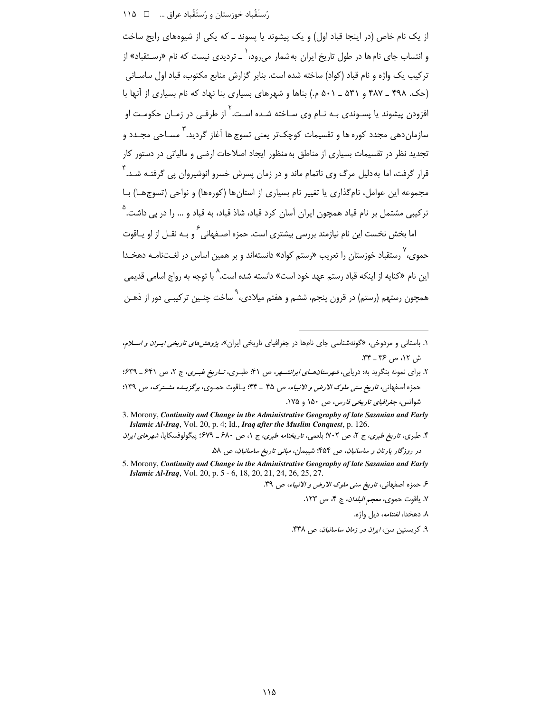# رُستَقَباد خوزستان و رُستَقَباد عراق … □ ١١٥

از یک نام خاص (در اینجا قباد اول) و یک پیشوند یا پسوند ـ که یکی از شیوههای رایج ساخت و انتساب جای نامها در طول تاریخ ایران بهشمار میرود، ٰ ـ تردیدی نیست که نام «رسـتقباد» از تركيب يك واژه و نام قباد (كواد) ساخته شده است. بنابر گزارش منابع مكتوب، قباد اوا , ساسـانه , (حک. ۴۹۸ \_ ۴۸۷ و ۵۰۱ \_ ۵۰۱ م.) بناها و شهرهای بسیاری بنا نهاد که نام بسیاری از آنها با افزودن پیشوند یا پسـوندی بـه نـام وی سـاخته شـده اسـت<sup>.۲</sup> از طرفـی در زمـان حکومـت او سازمان دهي محدد کوره ها و تقسيمات کوچک تر يعني تسوچ ها آغاز گرديد." مسـاحي محـدد و .<br>تجدید نظر در تقسیمات بسیاری از مناطق به منظور ایجاد اصلاحات ارضی و مالیاتی در دستور کار قرار گرفت، اما به دلیل مرگ وی ناتمام ماند و در زمان پسرش خسرو انوشیروان پی گرفتـه شـد. ۲ مجموعه این عوامل، نام گذاری یا تغییر نام بسیاری از استانها (کورهها) و نواحی (تسوجها) بـا ترکیبی مشتمل بر نام قباد همچون ایران آسان کرد قباد، شاذ قباد، به قباد و … را در پی داشت.<sup>۵</sup>

اما بخش نخست این نام نیازمند بررسی بیشتری است. حمزه اصـفهانی ً و بـه نقــل از او پــاقوت حموی، ٬ رستقباد خوزستان را تعریب «رستم کواد» دانستهاند و بر همین اساس در لغــتنامــه دهخــدا این نام «کنایه از اینکه قباد رستم عهد خود است» دانسته شده است.<sup>۸</sup> با توجه به رواج اسا*می* قدیمی همچون رستهم (رستم) در قرون پنجم، ششم و هفتم میلادی، <sup>۹</sup> ساخت چنـین ترکیبـی دور از ذهـن

- ۲. برای نمونه بنگرید به: دریایی، *شهرستان هـای ایرانشـهر*، ص ۴۱؛ طبـری، *تـاریغ طبـری*، ج ۲، ص ۶۴۱ ـ ۶۳۹؛ حمزه اصفهاني، تاريغ سنى ملوك الارض و الانبياء، ص ۴۵ \_ ۴۴: يـاقوت حموي، برگزيـده مشـترك، ص ١٣٩؛ شواتس، *جغرافیای تاریخی فارس، ص ۱*۵۰ و ۱۷۵.
- 3. Morony, Continuity and Change in the Administrative Geography of late Sasanian and Early Islamic Al-Iraq, Vol. 20, p. 4; Id., Iraq after the Muslim Conquest, p. 126.

۴. طبري، ت*اريخ طبري*، ج ۲، ص ۲۰۲؛ بلعمي، ت*اريخنامه طبري*، ج ۱، ص ۶۸۰ \_ ۶۷۹؛ پيگولوفسكايا، *شهرهاي ايران* در روزگار پارتان و ساسانیان، ص ۴۵۴؛ شیپمان، مبانی تاریخ ساسانیان، ص ۵۸.

- 5. Morony, Continuity and Change in the Administrative Geography of late Sasanian and Early Islamic Al-Iraq, Vol. 20, p. 5 - 6, 18, 20, 21, 24, 26, 25, 27.
	- ع حمزه اصفهاني، ت*اريخ سنى ملوك الارض و الانبياء*، ص ٣٩.
		- ٧. ياقوت حموي، *معجم البلدان*، ج ۴، ص ١٢٣.
			- ۸. دهخدا، *لغتنامه*، ذیل واژه.
		- ۹. کریستین سن، *ایران در زمان ساسانیان*، ص ۴۳۸.

۱. باستانی و مردوخی، «گونهشناسی جای نامها در جغرافیای تاریخی ایران»، *یژوهش های تاریخی ایسران و اس*لام، ش ١٢، ص ٣۶ \_ ٣۴.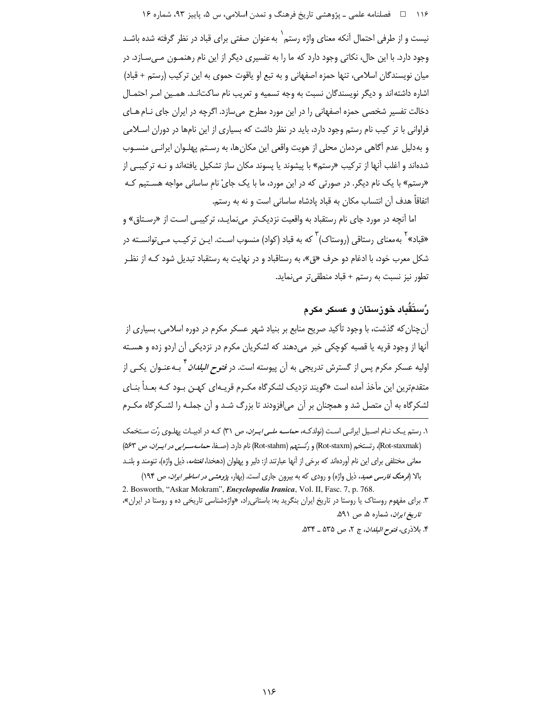۱۱۶ هـ افصلنامه علمي ـ پژوهشي تاريخ فرهنگ و تمدن اسلامي، س ۵، پاييز ۹۳، شماره ۱۶

نیست و از طرفی احتمال آنکه معنای واژه رستم<sup>\</sup> به عنوان صفتی برای قباد در نظر گرفته شده باشـد وجود دارد. با این حال، نکاتی وجود دارد که ما را به تفسیری دیگر از این نام رهنمـون مـی،سـازد. در میان نویسندگان اسلامی، تنها حمزه اصفهانی و به تبع او یاقوت حموی به این ترکیب (رستم + قباد) اشاره داشته اند و دیگر نویسندگان نسبت به وجه تسمیه و تعریب نام ساکتانـد. همـین امـر احتمـال دخالت تفسیر شخصی حمزه اصفهانی را در این مورد مطرح می سازد. اگرچه در ایران جای نـام هـای فراوانی با تر کیب نام رستم وجود دارد، باید در نظر داشت که بسیاری از این نامها در دوران اسـلامی و به دلیل عدم آگاهی مردمان محلی از هویت واقعی این مکان ها، به رسـتم پهلـوان ایرانـی منسـوب شدهاند و اغلب آنها از ترکیب «رستم» با پیشوند یا پسوند مکان ساز تشکیل یافتهاند و نـه ترکیبـی از «رستم» با یک نام دیگر. در صورتی که در این مورد، ما با یک جایْ نام ساسانی مواجه هستیم کـه اتفاقاً هدف آن انتساب مکان به قباد یادشاه ساسانی است و نه به رستم.

اما آنچه در مورد جای نام رستقباد به واقعیت نزدیکتر می نمایـد، ترکیبـی اسـت از «رسـتاق» و «قباد»<sup>۲</sup> بهمعنای رستاقی (روستاک)<sup>۳</sup> که به قباد (کواد) منسوب اسـت. ایـن ترکیـب مـیتوانسـته در شکل معرب خود، با ادغام دو حرف «ق»، به رستاقباد و در نهایت به رستقباد تبدیل شود کـه از نظـر تطور نیز نسبت به رستم + قباد منطقی تر می نماید.

# رُستَقَباد خوزستان و عسکر مکرم

آن چنان که گذشت، با وجود تأکید صریح منابع بر بنیاد شهر عسکر مکرم در دوره اسلامی، بسیاری از آنها از وجود قریه یا قصبه کوچکی خبر میدهند که لشکریان مکرم در نزدیکی آن اردو زده و هسـته اولیه عسکر مکرم پس از گسترش تدریجی به آن پیوسته است. در *فتوح البلدان* <sup>۴</sup> بـهعنـوان یکـی از متقدمترین این مآخذ آمده است «گویند نزدیک لشکرگاه مکـرم قریـهای کهـن بـود کـه بعـداً بنـای لشکرگاه به آن متصل شد و همچنان بر آن می|فزودند تا بزرگ شـد و آن جملـه را لشـکرگاه مکـرم

۴. بلاذري، *فتوح البلدان*، ج ٢، ص ۵۳۵ ـ ۵۳۴.

۱. رستم یـک نـام اصـیل ایرانـی اسـت (نولدکـه*، حماسـه ملـی ایـران*، ص ۳۱) کـه در ادبیـات پهلـوی رُت سـتخمک (Rot-staxmak)، رتستخم (Rot-staxm) و رُتستهم (Rot-stahm) نام دارد. (صـفا، حم*اسهسـرابي در ايـران*، ص ۵۶۳) معانی مختلفی برای این نام آوردهاند که برخی از آنها عبارتند از: دلیر و پهلوان (دهخدا، *لغتنامه*، ذیل واژه)، تنومند و بلنـد بالا (*فرهنگ فارسی عمید*، ذیل واژه) و رودی که به بیرون جاری است. (بهار، *پژوهشی در اساطیر ایران، ص* ۱۹۴) 2. Bosworth, "Askar Mokram", *Encyclopedia Iranica*, Vol. II, Fasc. 7, p. 768.

۳. برای مفهوم روستاک یا روستا در تاریخ ایران بنگرید به: باستانیراد، «واژهشناسی تاریخی ده و روستا در ایران»، تاریخ *ایران*، شماره ۵، ص ۵۹۱.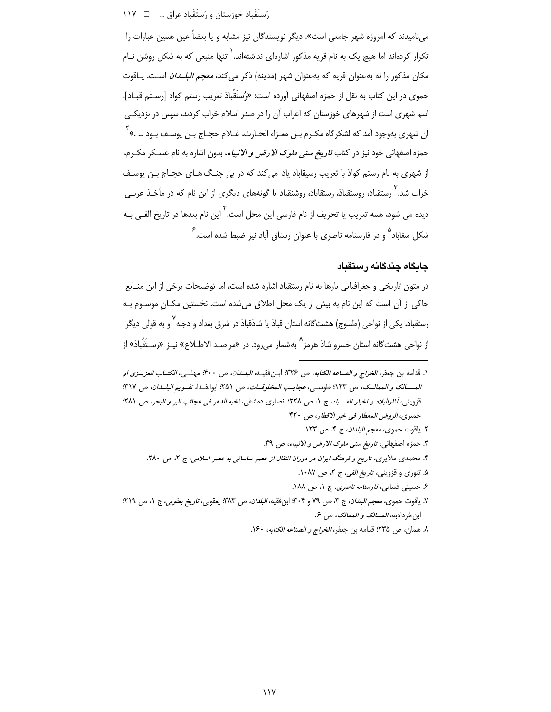میiامیدند که امروزه شهر جامعی است». دیگر نویسندگان نیز مشابه و یا بعضاً عین همین عبارات را تکرار کردهاند اما هیچ یک به نام قریه مذکور اشارهای نداشتهاند. ٰ تنها منبعی که به شکل روشن نـام مکان مذکور را نه بهعنوان قریه که بهعنوان شهر (مدینه) ذکر می کند، *معجم البلـدان* اسـت. یـاقوت حموي در اين كتاب به نقل از حمزه اصفهاني آورده است: «رُستَقُباذ تعريب رستم كواد [رسـتم قبــاد]، اسم شهری است از شهرهای خوزستان که اعراب آن را در صدر اسلام خراب کردند، سپس در نزدیکی آن شهري بهوجود آمد كه لشكرگاه مكـرم بـن معـزاء الحـارث، غـلام حجـاج بـن يوسـف بـود … .» <sup>'</sup> حمزه اصفهانی خود نیز در کتاب *تاریخ سنی ملوک الارض و الانبیاء*، بدون اشاره به نام عسـکر مکـرم، از شهری به نام رستم کواذ با تعریب رسیقاباد یاد میکند که در پی جنگ هـای حجـاج بـن یوسـف خراب شد.<sup>۳</sup> رستقباد، روستقباذ، رستقاباد، روشنقباد یا گونههای دیگری از این نام که در مآخـذ عربـی دیده می شود، همه تعریب یا تحریف از نام فارسی این محل است. <sup>۲</sup> این نام بعدها در تاریخ الفـی بـه شکل سغاباد<sup>۵</sup> و در فارسنامه ناصری با عنوان رستاق آباد نیز ضبط شده است.<sup>۶</sup>

## جايگاه چندگانه رستقباد

در متون تاریخی و جغرافیایی بارها به نام رستقباد اشاره شده است، اما توضیحات برخی از این منـابع حاکی از آن است که این نام به بیش از یک محل اطلاق میشده است. نخستین مکـان موسـوم بـه رستقباذ، یکی از نواحی (طسوج) هشتگانه استان قباذ یا شاذقباذ در شرق بغداد و دجله <sup>۷</sup> و به قولی دیگر از نواحي هشت¢انه استان خسرو شاذ هرمز<sup>^</sup> به شمار ميرود. در «مراصـد الاطـلاع» نيـز «رسـتَقُباذ» از

١. قدامه بن جعفر، *الخراج و الصناعه الكتابه*، ص ٣٢٤: ابن فقيــه، *البلــدان*، ص ۴۰۰: مهلب*ــي، الكتــاب العزيــزي او* المسالك و الممالك، ص ١٢٣؛ طوسبي، عجابب المخلوفيات، ص ٢٥١؛ إبوالفيدا، تقبويع البلسان، ص ٣١٧؛ قزويني، أثارالبلاد و اخبار العسباد، ج ١، ص ٢٢٨؛ انصارى دمشقى، نخبه الدهر في عجائب البر و البحر، ص ٢٨١؛ حميرى، الروض المعطار في خبر الاقطار، ص ۴۲۰ ٢. ياقوت حموى، معجم *البلدان*، ج ۴، ص ١٢٣. ٣. حمزه اصفهاني، ت*اريخ سنى ملوک الارض و الانبياء*، ص ٣٩. ۴. محمدی ملایری، تاریخ و فرهنگ ایران در دوران انتقال از عصر ساسانی به عصر اسلامی، ج ۲، ص ۲۸۰. ۵. تتوری و قزوینی، *تاریخ الفی*، ج ۲، ص ۰۸۷. ۶ـ حسینی فسایی، *فارسنامه ناصری*، ج ۰، ص ۱۸۸. ٧. ياقوت حموي، مع*جم البلدان*، ج ٣، ص ٧٩ و ٣٠۴؛ ابنفقيه*، البلدان*، ص ٣٨٣؛ يعقوبي، *تاريخ يعقوبي*، ج ١، ص ٢١٩؛ ابن خردادبه، *المسالک و الممالک*، ص ۶.

٨. همان، ص ٢٣۵؛ قدامه بن جعفر، *الخراج و الصناعه الكتابه*، ١۶٠.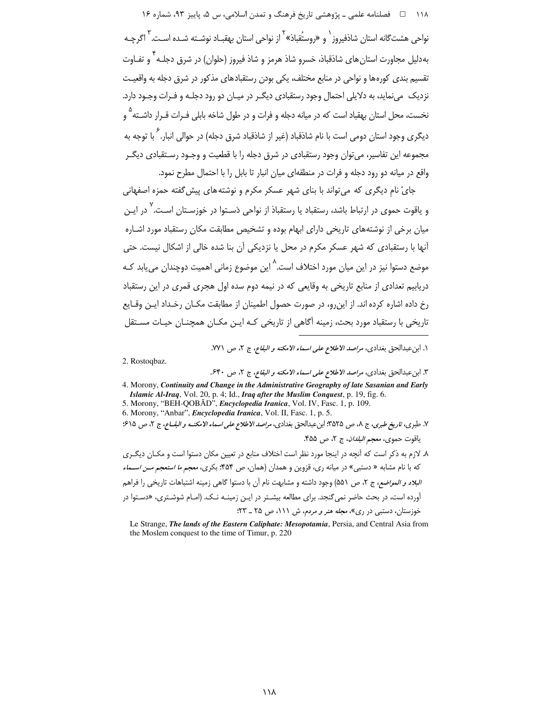۱۱۸ هـ فصلنامه علمي ـ پژوهشي تاريخ فرهنگ و تمدن اسلامي، س ۵، پاييز ۹۳، شماره ۱۶ نواحي هشت گانه استان شاذفيروز` و «روستُقباذ»<sup>۲</sup> از نواحي استان پهقبـاد نوشـته شـده اسـت.<sup>۳</sup> اگرچـه بهدلیل مجاورت استان های شاذقباذ، خسرو شاذ هرمز و شاذ فیروز (حلوان) در شرق دجلـه ۱ٌ و تفـاوت تقسیم بندی کورهها و نواحی در منابع مختلف، یکی بودن رستقبادهای مذکور در شرق دجله به واقعیت نزدیک ً می نماید، به دلایلی احتمال وجود رستقبادی دیگـر در میـان دو رود دجلـه و فـرات وجـود دارد. نخست، محل استان بهقباد است که در میانه دجله و فرات و در طول شاخه بابلی فـرات قـرار داشــته <sup>۵</sup> و دیگری وجود استان دومی است با نام شاذقباد (غیر از شاذقباد شرق دجله) در حوالی انبار. <sup>۶</sup> با توجه به مجموعه این تفاسیر، می توان وجود رستقبادی در شرق دجله را با قطعیت و وجـود رسـتقبادی دیگـر واقع در میانه دو رود دجله و فرات در منطقهای میان انبار تا بابل را با احتمال مطرح نمود.

جایْ نام دیگری که میتواند با بنای شهر عسکر مکرم و نوشته های پیش گفته حمزه اصفهانی و یاقوت حموی در ارتباط باشد، رستقباد یا رستقباذ از نواحی دَسـتوا در خوزسـتان اسـت. ٌ در ایـن میان برخی از نوشتههای تاریخی دارای ابهام بوده و تشخیص مطابقت مکان رستقباد مورد اشـاره آنها با رستقبادی که شهر عسکر مکرم در محل یا نزدیکی آن بنا شده خالی از اشکال نیست. حتی موضع دستوا نیز در این میان مورد اختلاف است.<sup>۸</sup> این موضوع زمانی اهمیت دوچندان می،یابد کـه دریابیم تعدادی از منابع تاریخی به وقایعی که در نیمه دوم سده اول هجری قمری در این رستقباد رخ داده اشاره کرده اند. از این٫رو، در صورت حصول اطمینان از مطابقت مکـان رخـداد ایـن وقـایع تاریخی با رستقباد مورد بحث، زمینه آگاهی از تاریخی کـه ایـن مکـان همچنـان حیـات مسـتقل

١. ابن عبدالحق بغدادي، *مراصد الاطلاع على اسماء الامكنه و البقاع*، ج ٢، ص ٧٧١.

2. Rostogbaz.

٣. ابن عبدالحق بغدادي، مراصد الاطلاع على اسماء الامكنه و البقاع، ج ٢، ص ٤٤٠.

4. Morony, Continuity and Change in the Administrative Geography of late Sasanian and Early Islamic Al-Iraq, Vol. 20, p. 4; Id., Iraq after the Muslim Conquest, p. 19, fig. 6.<br>5. Morony, "BEH-QOBĀD", Encyclopedia Iranica, Vol. IV, Fasc. 1, p. 109.

6. Morony, "Anbar", *Encyclopedia Iranica*, Vol. II, Fasc. 1, p. 5.

٧. طبري، تاريخ طبري، ج ٨، ص ٣۵٢۵: ابن عبدالحق بغدادي، *مراصد الاطلاع على اسماء الامكنـه و البقــاع*، ج ٢، ص ٤١٥؛

ياقوت حموي، *معجم البلدان*، ج ٢، ص ۴۵۵.

٨. لازم به ذكر است كه آنچه در اينجا مورد نظر است اختلاف منابع در تعيين مكان دستوا است و مكـان ديگـرى که با نام مشابه « دستبی» در میانه ری، قزوین و همدان (همان، ص ۴۵۴؛ بکری، *معجم ما استعجم مـن اســماء* البلاد و المواضع، ج ٢، ص ٥٥١) وجود داشته و مشابهت نام أن با دستوا گاهي زمينه اشتباهات تاريخي را فراهم آورده است، در بحث حاضر نمی گنجد. برای مطالعه بیشـتر در ایـن زمینـه نـک. (امـام شوشـتری، «دسـتوا در خوزستان، دستبی در ری»، *مجله هنر و مردم*، ش ۱۱۱، ص ۲۵ \_ ۲۳؛

Le Strange, The lands of the Eastern Caliphate: Mesopotamia, Persia, and Central Asia from the Moslem conquest to the time of Timur, p. 220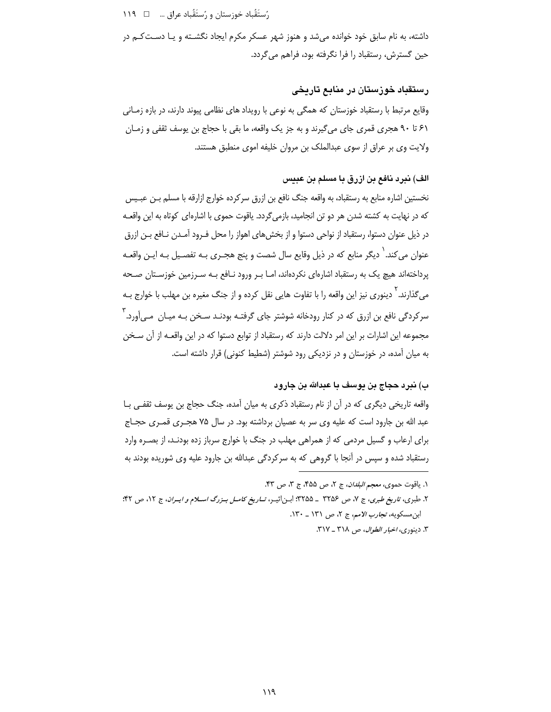داشته، به نام سابق خود خوانده میشد و هنوز شهر عسکر مکرم ایجاد نگشـته و یـا دسـت کـم در حین گسترش، رستقباد را فرا نگرفته بود، فراهم می گردد.

# رستقباد خوزستان در منابع تاریخی

وقایع مرتبط با رستقباد خوزستان که همگی به نوعی با رویداد های نظامی پیوند دارند، در بازه زمـانی ۶۱ تا ۹۰ هجری قمری جای میگیرند و به جز یک واقعه، ما بقی با حجاج بن یوسف ثقفی و زمـان ولایت وی بر عراق از سوی عبدالملک بن مروان خلیفه اموی منطبق هستند.

#### الف) نيرد نافع بن ازرق با مسلم بن عبيس

نخستین اشاره منابع به رستقباد، به واقعه جنگ نافع بن ازرق سرکرده خوارج ازارقه با مسلم بـن عبـیس که در نهایت به کشته شدن هر دو تن انجامید، بازمی گردد. یاقوت حموی با اشارهای کوتاه به این واقعـه در ذیل عنوان دستوا، رستقباد از نواحی دستوا و از بخش های اهواز را محل فـرود آمـدن نـافع بـن ازرق عنوان می کند. ٰ دیگر منابع که در ذیل وقایع سال شصت و پنج هجـری بـه تفصـیل بـه ایـن واقعـه پرداختهاند هیچ یک به رستقباد اشارهای نکردهاند، امـا بـر ورود نـافع بـه سـرزمین خوزسـتان صـحه می گذارند. ٰ دینوری نیز این واقعه را با تفاوت هایی نقل کرده و از جنگ مغیره بن مهلب با خوارج بـه سرکردگی نافع بن ازرق که در کنار رودخانه شوشتر جای گرفتـه بودنـد سـخن بـه میـان مـی]ورد. آ مجموعه این اشارات بر این امر دلالت دارند که رستقباد از توابع دستوا که در این واقعـه از آن سـخن به میان آمده، در خوزستان و در نزدیکی رود شوشتر (شطیط کنونی) قرار داشته است.

# ب) نبرد حجاج بن يوسف با عبدالله بن جارود

واقعه تاریخی دیگری که در آن از نام رستقباد ذکری به میان آمده، جنگ حجاج بن یوسف ثقفـی بـا عبد الله بن جارود است که علیه وی سر به عصیان برداشته بود. در سال ۷۵ هجـری قمـری حجـاج برای ارعاب و گسیل مردمی که از همراهی مهلب در جنگ با خوارج سرباز زده بودنـد، از بصـره وارد رستقباد شده و سپس در آنجا با گروهی که به سرکردگی عبدالله بن جارود علیه وی شوریده بودند به

١. ياقوت حموي، *معجم البلدان*، ج ٢، ص ٤٥٨، ج ٣، ص ۴٣.

۲. طبری، تاریخ طبری، ج ۷، ص ۳۲۵۶ \_ ۳۲۵۵؟ ابـن|ثیــر، *تــاریخ کامــل بــزرگ اســلام و ایــران*، ج ۱۲، ص ۴۲؛ ابن مسكويه، تجارب الأمم، ج ٢، ص ١٣١ \_ ١٣٠.

٣. دينوري، *اخبار الطوال*، ص ٣١٨ ـ ٣١٧.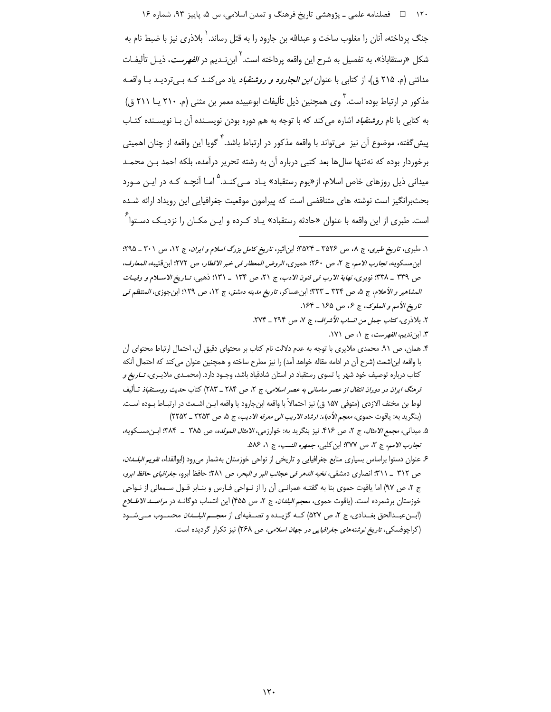۱۲۰ □ فصلنامه علمي ــ پژوهشي تاريخ فرهنگ و تمدن اسلامي، س ۵، پاييز ۹۳، شماره ۱۶

جنگ پرداخته، آنان را مغلوب ساخت و عبدالله بن جارود را به قتل رساند.<sup>\</sup> بلاذری نیز با ضبط نام به شكل «رستقاباذ»، به تفصيل به شرح اين واقعه پرداخته است.<sup>۲</sup> ابن *نـ*ديم در *الفهرست*، ذيـل تأليفـات مدائنی (م. ۲۱۵ ق)، از کتابی با عنوان *ابن الجارود و روشنقباد* یاد می کنـد کـه بـیتردیـد بـا واقعـه مذکور در ارتباط بوده است. <sup>۳</sup> وی همچنین ذیل تألیفات ابوعبیده معمر بن مثنی (م. ۲۱۰ یــا ۲۱۱ ق) به کتابی با نام *روشنقباد* اشاره می کند که با توجه به هم دوره بودن نویسـنده آن بـا نویسـنده کتـاب پیش گفته، موضوع آن نیز می¤واند با واقعه مذکور در ارتباط باشد.<sup>۴</sup> گویا این واقعه از چنان اهمیت*ی* برخوردار بوده که نهتنها سالٍها بعد کتبی درباره آن به رشته تحریر درآمده، بلکه احمد بـن محمـد میدانی ذیل روزهای خاص اسلام، از«یوم رستقباد» یـاد مـی کنـد. <sup>۵</sup> امـا آنچـه کـه در ایـن مـورد بحثبرانگیز است نوشته های متناقضی است که پیرامون موقعیت جغرافیایی این رویداد ارائه شـده است. طبری از این واقعه با عنوان «حادثه رستقباد» یـاد کـرده و ایـن مکـان را نزدیـک دسـتوا<sup>ع</sup>

۵. میدانی، مجمع *الامثال*، ج ۲، ص ۴۱۶. نیز بنگرید به: خوارزمی، *الامثال المولده*، ص ۳۸۵ \_ ۳۸۴: ابـن مسـكویه، تجارب الامم، ج ٣، ص ٣٧٧؛ ابن كلبي، جمهره النسب، ج ١، ٨٨٤.

۶ عنوان دستوا براساس بسیاری منابع جغرافیایی و تاریخی از نواحی خوزستان بهشمار می رود (ابوالفداء، *تقویم البلسدان*، ص ٣١٢ \_ ٣١١: انصارى دمشقى، نخبه الدهر في عجائب البر و البحر، ص ٢٨١: حافظ ابرو، جغرافياى حافظ ابرو، ج ٢، ص ٩٧) اما ياقوت حموي بنا به گفتـه عمرانـي أن را از نـواحي فـارس و بنـابر قـول سـمعاني از نـواحي خوزستان برشمرده است. (ياقوت حموى، *معجم البلدان*، ج ٢، ص ۴۵۵) اين انتساب دوگانــه در *مراصــد الاطــلاع* (ابن عبدالحق بغـدادي، ج ٢، ص ٥٢٧) كـه گزيـده و تصـفيهاي از *معجــم البلـدان* محسـوب مـي شـود (کراچوفسکی، *تاریخ نوشتههای جغرافیایی در جهان اسلامی، ص ۲۶*۸) نیز تکرار گردیده است.

١. طبری، تاریخ طبری، ج ٨، ص ٣۵٢۶ ـ ٣۵٢۴: ابن اثیر، تاریخ کامل بزرگ اسلام و ایران، ج ١٢، ص ٣٠١ ـ ۴٩۵: ابن مسكويه، تج*ارب الامم*، ج ٢، ص ٢۶٠؛ حميري، *الروض المعطار في خبر الاقطار*، ص ٢٧٢؛ ابن قتيبه، *المعارف*، ص ٣٣٩ \_ ٣٣٨: نويري، نهاية الأرب في فنون الأدب، ج ٢١، ص ١٣۴ \_ ١٣١: ذهبي، تـاريخ الأسـلام و وفيـات العشامير و الأعلام، ج ۵، ص ٣٢٣ \_ ٣٢٣: ابن عساكر، تاريخ مدينه دمشق، ج ١٢، ص ١٢٩؛ ابن جوزي، المنتظم في تاريخ الأمم و الملوك، ج ع، ص ١۶۵ \_ ١٤۴.

٢. بلاذري، كتاب جمل من انساب الأشراف، ج ٧، ص ٢٩۴ \_ ٢٧۴. ٣. ابن نديم، *الفهرست*، ج ١، ص ١٧١.

۴. همان، ص ۹۱. محمدی ملایری با توجه به عدم دلالت نام کتاب بر محتوای دقیق آن، احتمال ارتباط محتوای آن با واقعه ابن|شعث (شرح أن در ادامه مقاله خواهد آمد) را نيز مطرح ساخته و همچنين عنوان مي كند كه احتمال أنكه کتاب درباره توصیف خود شهر یا تسوی رستقباد در استان شادقباد باشد، وجـود دارد. (محمـدی ملایـری، *تــاریخ و* قرهنگ *ایران در دوران انتقال از عصر ساسانی به عصر اسلامی*، ج ۲، ص ۲۸۴ \_ ۲۸۳) کتاب ح*دیث روستقباذ* تـألیف لوط بن مخنف الازدي (متوفى ١۵٧ ق) نيز احتمالاً با واقعه ابن جارود يا واقعه ايـن اشـعث در ارتبـاط بـوده اسـت. (بنگريد به: ياقوت حموي، معجم الأدباء: ارشاد الاريب الى معرفه الاديب، ج ۵، ص ٢٢٥٣ \_ ٢٢٥٢)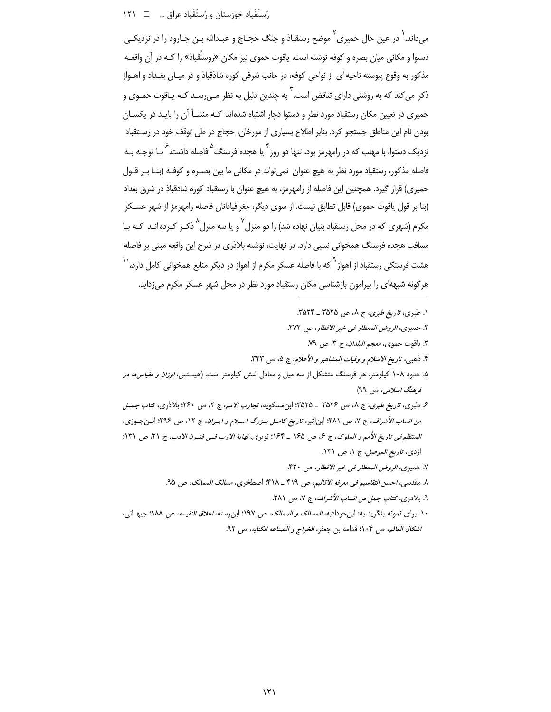می،داند. <sup>۱</sup> در عین حال حمیری <sup>۲</sup> موضع رستقباذ و جنگ حجــاج و عبــدالله بــن جــارود را در نزدیکــی دستوا و مكاني ميان بصره و كوفه نوشته است. ياقوت حموي نيز مكان «روستُقباذ» را كـه در آن واقعـه مذکور به وقوع پیوسته ناحیه ای از نواحی کوفه، در جانب شرقی کوره شاذقباذ و در میـان بغـداد و اهـواز ذکر می کند که به روشنی دارای تناقض است. ۖ به چندین دلیل به نظر مـی٫سـد کـه پـاقوت حمـوی و حمیری در تعیین مکان رستقباد مورد نظر و دستوا دچار اشتباه شدهاند کـه منشــأ آن را بایـد در یکســان بودن نام این مناطق جستجو کرد. بنابر اطلاع بسیاری از مورخان، حجاج در طی توقف خود در رستقباد نزدیک دستوا، با مهلب که در رامهرمز بود، تنها دو روز<sup>۴</sup> یا هجده فرسنگ<sup>۵</sup> فاصله داشت. <sup>۶</sup> بـا توجـه بـه فاصله مذکور، رستقباد مورد نظر به هیچ عنوان نمی تواند در مکانی ما بین بصـره و کوفـه (بنـا بـر قـول حمیری) قرار گیرد. همچنین این فاصله از رامهرمز، به هیچ عنوان با رستقباد کوره شادقباذ در شرق بغداد (بنا بر قول یاقوت حموی) قابل تطابق نیست. از سوی دیگر، جغرافیادانان فاصله رامهرمز از شهر عسـکر مکرم (شهری که در محل رستقباد بنیان نهاده شد) را دو منزل <sup>۷</sup> و یا سه منزل<sup>^</sup> ذکـر کـرده انـد کـه بـا مسافت هجده فرسنگ همخوانی نسبی دارد. در نهایت، نوشته بلاذری در شرح این واقعه مبنی بر فاصله هشت فرسنگی رستقباد از اهواز<sup>۹</sup> که با فاصله عسکر مکرم از اهواز در دیگر منابع همخوانی کامل دارد، <sup>۱</sup>۰ هرگونه شبههای را پیرامون بازشناسی مکان رستقباد مورد نظر در محل شهر عسکر مکرم می;داید.

١. طبري، ت*اريخ طبري*، ج ٨، ص ٣٥٢٥ ـ ٣٥٢٣.

٢. حميري، الروض المعطار في خبر الاقطار، ص ٢٧٢.

٣. ياقوت حموي، *معجم البلدان*، ج ٣، ص ٧٩.

۴. ذهبي، تاريخ الاسلام و وفيات المشاهير و الأعلام، ج ۵، ص ۳۲۳.

۵. حدود ۱۰۸ کیلومتر. هر فرسنگ متشکل از سه میل و معادل شش کیلومتر است. (هینـتس، *اوزان و مقیاسها در* فرهنگ اسلامی، ص ۹۹)

ع طبری، ت*اریخ طبری*، ج ۸، ص ۳۵۲۶ \_ ۳۵۲۵؛ ابن مسکویه، *تجارب الامم*، ج ۲، ص ۲۶۰؛ بلاذری، *کتاب جمـل* من انساب الأشراف، ج ٧، ص ٢٨١؛ ابن اثير، تاريخ كامل بزرگ اسلام و ايران، ج ١٢، ص ٢٩٤؛ ابن جـوزي، المنتظم في تاريخ الأمم و الملوك، ج ۶، ص ١۶۵ \_ ١۶۴؛ نويري، نهاية الارب في فنون الادب، ج ٢١، ص ١٣١؛ ازدي، *تاريخ الموصل، ج ١، ص ١٣١.* 

٧. حميري، الروض المعطار في خبر الاقطار، ص ٣٢٠.

٨. مقدسي، احسن التقاسيم في معرفه الاقاليم، ص ۴۱۹ \_ ۴۱۸: اصطخري، مسالك الممالك، ص ٩۵.

۹. بلاذرى، كتاب جمل من انساب الأشراف، ج ٧، ص ٢٨١.

١٠. براي نمونه بنگريد به: ابن خردادبه، *المسالک و الممالک*، ص ١٩٧؛ ابن رسته، *اعلاق النفيسه*، ص ١٨٨؛ جيهـاني، اشكال العالم، ص ١٠۴؛ قدامه بن جعفر، الخراج و الصناعه الكتابه، ص ٩٢.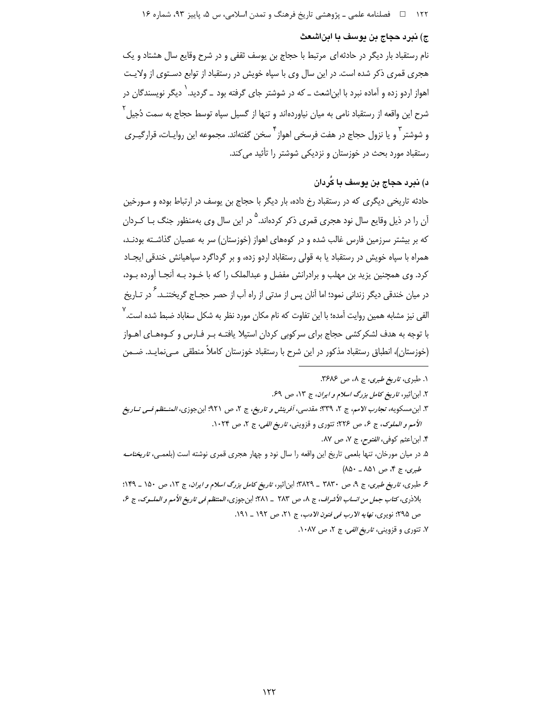### ج) نبرد حجاج بن يوسف با ابناشعث

نام رستقباد بار دیگر در حادثه ای مرتبط با حجاج بن یوسف ثقفی و در شرح وقایع سال هشتاد و یک هجری قمری ذکر شده است. در این سال وی با سپاه خویش در رستقباد از توابع دستوی از ولایت اهواز اردو زده و آماده نبرد با ابن|شعث ــ که در شوشتر جای گرفته بود ــ گردید.<sup>\</sup> دیگر نویسندگان در شرح این واقعه از رستقباد نامی به میان نیاوردهاند و تنها از گسیل سپاه توسط حجاج به سمت دُجیل <sup>۲</sup> و شوشتر <sup>۳</sup> و یا نزول حجاج در هفت فرسخی اهواز <sup>۴</sup> سخن گفتهاند. مجموعه این روایـات، قرارگیـری رستقباد مورد بحث در خوزستان و نزدیکی شوشتر را تأئید می کند.

# د) نبرد حجاج بن پوسف با کُردان

حادثه تاریخی دیگری که در رستقباد رخ داده، بار دیگر با حجاج بن یوسف در ارتباط بوده و مـورخین آن را در ذیل وقایع سال نود هجری قمری ذکر کردهاند.<sup>۵</sup> در این سال وی بهمنظور جنگ بـا کـردان که بر بیشتر سرزمین فارس غالب شده و در کوههای اهواز (خوزستان) سر به عصیان گذاشـته بودنـد، همراه با سیاه خویش در رستقباد یا به قولی رستقاباد اردو زده، و بر گرداگرد سیاهیانش خندقی ایجـاد کرد. وی همچنین یزید بن مهلب و برادرانش مفضل و عبدالملک را که با خـود بـه آنجـا آورده بـود، در میان خندقی دیگر زندانی نمود؛ اما آنان پس از مدتی از راه آب از حصر حجــاج گریختنــد. <sup>۶</sup> در تــاریخ الفی نیز مشابه همین روایت آمده؛ با این تفاوت که نام مکان مورد نظر به شکل سغاباد ضبط شده است.<sup>۷</sup> با توجه به هدف لشکرکشی حجاج برای سرکوبی کردان استیلا یافتـه بـر فـارس و کـوههـای اهـواز (خوزستان)، انطباق رستقباد مذكور در اين شرح با رستقباد خوزستان كاملاً منطقى مـىنمايـد. ضـمن

#### ١. طبري، تاريخ طبري، ج ٨، ص ٣۶٨۶.

۲. ابن|ثیر، *تاریخ کامل بزرگ اسلام و ایران*، ج ۱۳، ص ۶۹.

- ۳. ابن مسکویه، *تجارب الامم*، ج ۲، ۳۳۹؛ مقدسی، *آفرینش و تاریخ*، ج ۲، ص ۹۲۱؛ ابن جوزی، *المنــتظم فــی تــاریخ* الأمم و الملوك، ج ۶، ص ٢٢۶؛ تتورى و قزويني، تاريغ الفي، ج ٢، ص ١٠٢۴.
	- ۴. ابن اعثم كوفي، *الفتوح،* ج ٧، ص ٨٧.
- ۵. در میان مورخان، تنها بلعمی تاریخ این واقعه را سال نود و چهار هجری قمری نوشته است (بلعمـی، *تاریخنامـه* طبری، ج ۴، ص ۸۵۱ \_ ۸۵۰/
- عر طبری، تاریخ طبری، ج ۹، ص ۳۸۳۰ \_ ۳۸۲۹: ابن|ثیر، ت*اریخ کامل بزرگ اسلام و ایران*، ج ۱۳، ص ۱۵۰ \_ ۱۴۹: بالاذرى، كتاب جمل من انساب الأشراف، ج ٨، ص ٢٨٣ \_ ٢٨١: ابن جوزى، المنتظم في تاريخ الأمم و الملوك، ج ٤، ص ٢٩۵؛ نویری، *نهایه الارب فی فنون الادب*، ج ٢١، ص ١٩٢ \_ ١٩١.
	- ٧. تتورى و قزوينى، ت*اريخ الفى*، ج ٢، ص ١٠٨٧.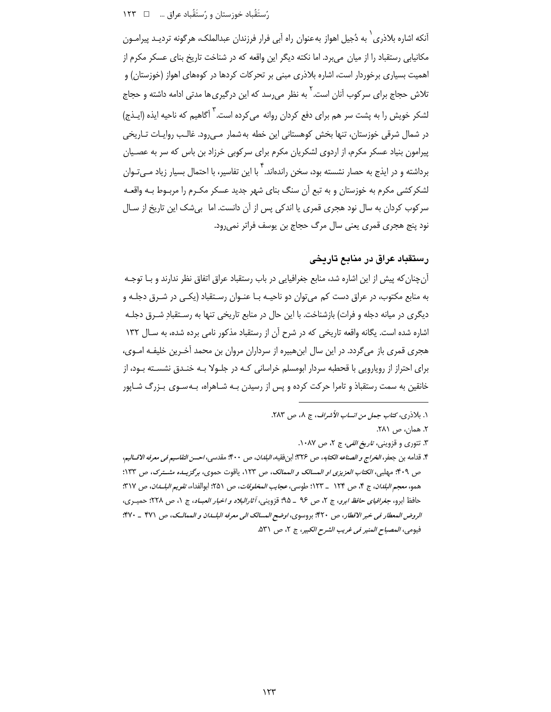# 

آنکه اشاره بلاذری ٰ به دُجیل اهواز به عنوان راه آبی فرار فرزندان عبدالملک، هرگونه تردیـد پیرامــون مکانیابی رستقباد را از میان می برد. اما نکته دیگر این واقعه که در شناخت تاریخ بنای عسکر مکرم از اهمیت بسیاری برخوردار است، اشاره بلاذری مبنی بر تحرکات کردها در کوههای اهواز (خوزستان) و تلاش حجاج برای سرکوب آنان است. <sup>۲</sup> به نظر می۱٫سد که این درگیری ها مدتی ادامه داشته و حجاج لشکر خویش را به پشت سر هم برای دفع کردان روانه می کرده است. <sup>۳</sup> آگاهیم که ناحیه ایذه (ایـذج) در شمال شرقی خوزستان، تنها بخش کوهستانی این خطه به شمار مـبیرود. غالـب روایـات تـاریخی پیرامون بنیاد عسکر مکرم، از اردوی لشکریان مکرم برای سرکوبی خرزاد بن باس که سر به عصـیان برداشته و در ایذج به حصار نشسته بود، سخن راندهاند. <sup>۲</sup> با این تفاسیر، با احتمال بسیار زیاد مــ<sub>ـه </sub>تـوان لشکرکشی مکرم به خوزستان و به تبع آن سنگ بنای شهر جدید عسکر مکـرم را مربـوط بـه واقعـه سرکوب کردان به سال نود هجری قمری یا اندکی پس از آن دانست. اما بیشک این تاریخ از سـال نود پنج هجری قمری یعنی سال مرگ حجاج بن پوسف فراتر نمی رود.

# رستقباد عراق در منابع تاریخی

آنچنان که پیش از این اشاره شد، منابع جغرافیایی در باب رستقباد عراق اتفاق نظر ندارند و بـا توجـه به منابع مکتوب، در عراق دست کم می¤وان دو ناحیـه بـا عنـوان رسـتقباد (یکـی در شـرق دجلـه و دیگری در میانه دجله و فرات) بازشناخت. با این حال در منابع تاریخی تنها به رسـتقبادِ شـرق دجلـه اشاره شده است. یگانه واقعه تاریخی که در شرح آن از رستقباد مذکور نامی برده شده، به سـال ۱۳۲ هجری قمری باز میگردد. در این سال ابنهبیره از سرداران مروان بن محمد آخـرین خلیفـه امـوی، برای احتراز از رویارویی با قحطبه سردار ابومسلم خراسانی کـه در جلـولا بـه خنـدق نشسـته بـود، از خانقین به سمت رستقباذ و تامرا حرکت کرده و پس از رسیدن بـه شـاهراه، بـه<code>سـوی</code> بـزرگ شـاپور

٢. همان، ص ٢٨١.

۳. تتوری و قزوینی، *تاریخ الفی، ج* ۲، ص ۱۰۸۷.

١. بلاذري، كتاب جمل من انساب الأشراف، ج ٨، ص ٢٨٣.

۴. قدامه بن جعفر، *الخراج و الصناعه الكتابه*، ص ٣٢۶: ابن فقيه، *البلدان*، ص ۴۰۰: مقدسي، *احسن التقاسيم في معرفه الاقساليم*، ص ۴۰۹؛ مهلبي، *الكتاب العزيزي او المسالك و الممالك*، ص ۱۲۳، ياقوت حموي، برگزيــده مشــترك، ص ۱۳۳؛ همو، معجم *البلدان*، ج ۴، ص ۱۲۴ \_ ۱۲۳: طوسي، *عجا*ب *المخلوقات*، ص ۵۱٪ إبوالفداء، *تقويم البلسدان*، ص ۳۱۷: حافظ ابرو، *جغرافياي حافظ ابرو*، ج ٢، ص ٩٤ \_ ٩۵؛ قزويني، *أثارالبلاد و اخبار العبــاد*، ج ١، ص ٢٢٨؛ حميـري، الروض المعطار في خبر الاقطار، ص ۴۲۰؛ بروسوى، اوضح المسالك الى معرفه البلــان و الممالــك، ص ۴۷۱ \_ ۴۷۰؟؛ فيومي، المصباح المنير في غريب الشرح الكبير، ج ٢، ص ٥٣١.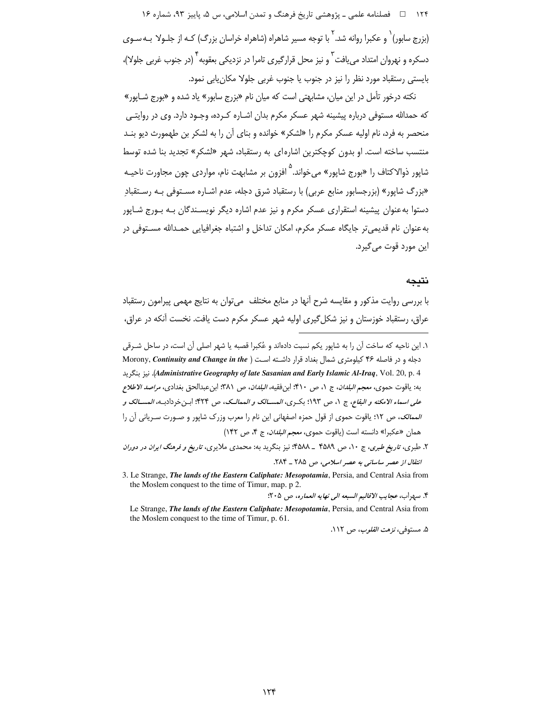۱۲۴ هـ فصلنامه علمي ـ پژوهشي تاريخ فرهنگ و تمدن اسلامي، س ۵، پاييز ۹۳، شماره ۱۶ (بزرج سابور)` و عکبرا روانه شد.` با توجه مسیر شاهراه (شاهراه خراسان بزرگ) کـه از جلـولا بـه سـوی دسکره و نهروان امتداد می یافت <sup>۲</sup> و نیز محل قرارگیری تامرا در نزدیکی بعقوبه <sup>۲</sup> (در جنوب غربی جلولا)، بایستی رستقباد مورد نظر را نیز در جنوب یا جنوب غربی جلولا مکان یابی نمود.

نکته درخور تأمل در این میان، مشابهتی است که میان نام «بزرج سابور» یاد شده و «بورج شـایور» که حمدالله مستوفی درباره پیشینه شهر عسکر مکرم بدان اشـاره کـرده، وجـود دارد. وی در روایتـی منحصر به فرد، نام اولیه عسکر مکرم را «لشکر» خوانده و بنای آن را به لشکر بن طهمورث دیو بنـد منتسب ساخته است. او بدون کوچکترین اشاره ای به رستقباد، شهر «لشکر» تجدید بنا شده توسط شاپور ذوالاکتاف را «بورج شاپور» میخواند.<sup>۵</sup> افزون بر مشابهت نام، موارد*ی* چون مجاورت ناحیـه «بزرگ شایور» (بزرجسابور منابع عربی) با رستقباد شرق دجله، عدم اشـاره مسـتوفی بـه رسـتقباد دستوا به عنوان پیشینه استقراری عسکر مکرم و نیز عدم اشاره دیگر نویسـندگان بـه بـورج شـاپور به عنوان نام قدیمی تر جایگاه عسکر مکرم، امکان تداخل و اشتباه جغرافیایی حمـدالله مسـتوفی در این مورد قوت می گیرد.

#### نتىحە

با بررسی روایت مذکور و مقایسه شرح آنها در منابع مختلف میتوان به نتایج مهمی پیرامون رستقباد عراق، رستقباد خوزستان و نیز شکل گیری اولیه شهر عسکر مکرم دست یافت. نخست آنکه در عراق،

- ١. اين ناحيه كه ساخت آن را به شاپور يكم نسبت دادهاند و عُكبرا قصبه يا شهر اصلى آن است، در ساحل شـرقى دجله و در فاصله ۴۶ کیلومتری شمال بغداد قرار داشته است ( Morony, Continuity and Change in the Administrative Geography of late Sasanian and Early Islamic Al-Iraq, Vol. 20, p. 4. نىز ينكريد به: ياقوت حموي، *معجم البلدان*، ج ١، ص ٣١٠؛ ابن فقيه، *البلدان*، ص ٣٨١؛ ابن عبدالحق بغدادي، *مراصد الاطلاع* عل*ى اسماء الامكنه و البقاع*، ج ١، ص ١٩٣؛ بكـرى، *المســـالک و الممالــک*، ص ۴۲۴؛ ابـن خردادبـه، *المســـالک و الممالک، ص ١*٢؛ ياقوت حموي از قول حمزه اصفهاني اين نام را معرب وزرک شاپور و صـورت سـرياني آن را همان «عكبرا» دانسته است (ياقوت حموى، *معجم البلدان*، ج ۴، ص ١۴٢)
- ۲. طبری، *تاریخ طبری*، ج ۱۰، ص ۴۵۸۹ \_ ۴۵۸۸؛ نیز بنگرید به: محمدی ملایری، *تاریخ و فرهنگ ایران در دوران* انتقال از عصر ساسانی به عصر اسلامی، ص ۲۸۵ \_ ۲۸۴.
- 3. Le Strange, The lands of the Eastern Caliphate: Mesopotamia, Persia, and Central Asia from the Moslem conquest to the time of Timur, map. p 2.

۴. سهراب، عجايب الاقاليم السبعه الى نهايه العماره، ص ٢٠۵:

Le Strange, The lands of the Eastern Caliphate: Mesopotamia, Persia, and Central Asia from the Moslem conquest to the time of Timur, p. 61.

۵. مستوف*ي، نزهت القلوب، ص* ۱۱۲.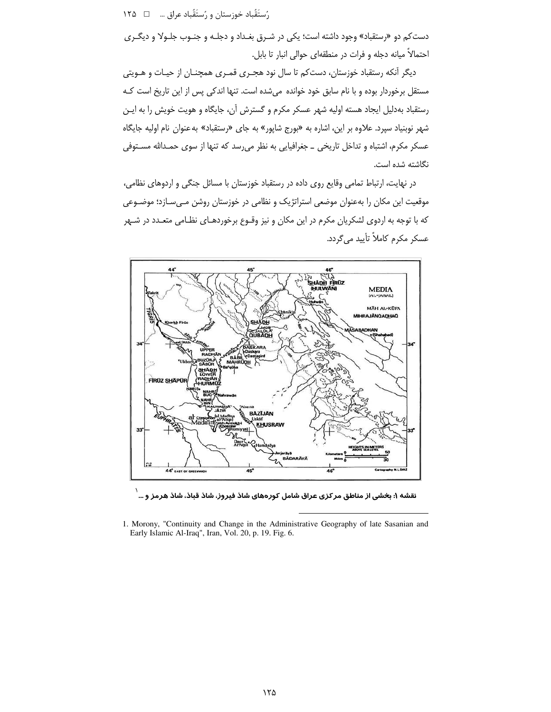رُستَقَّباد خوزستان و رُستَقَّباد عراق … □ ١٢٥

دست کم دو «رستقباد» وجود داشته است؛ یکی در شـرق بغـداد و دجلـه و جنـوب جلـولا و دیگـری احتمالاً میانه دجله و فرات در منطقهای حوالی انبار تا بابل.

دیگر آنکه رستقباد خوزستان، دستکم تا سال نود هجـری قمـری همچنـان از حیـات و هـویتی مستقل برخوردار بوده و با نام سابق خود خوانده می شده است. تنها اندکی پس از این تاریخ است کـه رستقباد بهدلیل ایجاد هسته اولیه شهر عسکر مکرم و گسترش آن، جایگاه و هویت خویش را به ایـن شهر نوبنیاد سپرد. علاوه بر این، اشاره به «بورج شاپور» به جای «رستقباد» به عنوان نام اولیه جایگاه عسکر مکرم، اشتباه و تداخل تاریخی \_ جغرافیایی به نظر می رسد که تنها از سوی حمـدالله مسـتوفی نگاشته شده است.

در نهایت، ارتباط تمامی وقایع روی داده در رستقباد خوزستان با مسائل جنگی و اردوهای نظامی، موقعیت این مکان را بهعنوان موضعی استراتژیک و نظامی در خوزستان روشن مهیسازد؛ موضـوعی که با توجه به اردوی لشکریان مکرم در این مکان و نیز وقـوع برخوردهـای نظـامی متعـدد در شـهر عسکر مکرم کاملاً تأیید می گردد.



نقشه ۱: بخشی از مناطق مر کزی عراق شامل کورههای شاذ فیروز، شاذ قباذ، شاذ هرمز و … ٰ

<sup>1.</sup> Morony, "Continuity and Change in the Administrative Geography of late Sasanian and Early Islamic Al-Iraq", Iran, Vol. 20, p. 19. Fig. 6.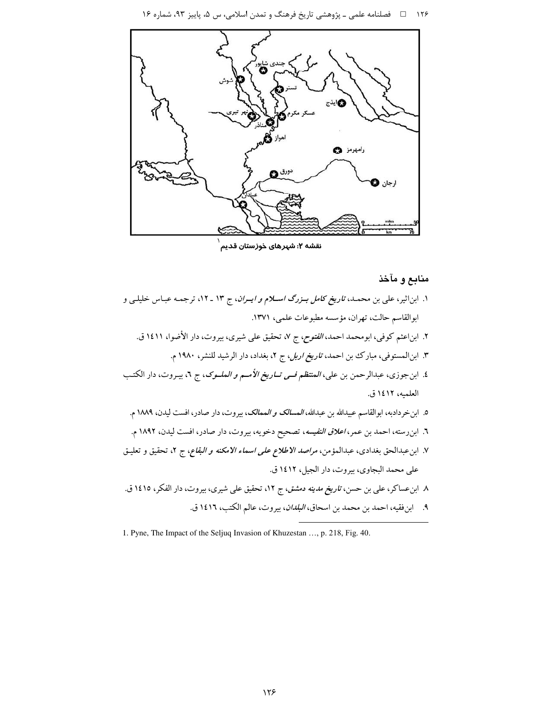۱۲۶ هـ استامه علمي ـ پژوهشي تاريخ فرهنگ و تمدن اسلامي، س ۵، پاييز ۹۳، شماره ۱۶



نقشه ۲: شهرهای خوزستان قدیم

#### منابع و مآخذ

۱. ابناثیر، علی بن محمـد، ت*اریخ کامل بـزرگ اسـلام و ایـران*، ج ۱۳ ـ ۱۲، ترجمـه عبـاس خلیلـی و ابوالقاسم حالت، تهران، مؤسسه مطبوعات علمي، ١٣٧١. ۲. ابناعثم کوفی، ابومحمد احمد، *الفتوح*، ج ۷، تحقیق علی شیری، بیروت، دار الأضوا، ۱٤۱۱ ق. ۳. ابن الممستوفی، مبارک بن احمد، *تاریخ اربل، ج ۲، بغداد، دار الرشید للنشر، ۱۹۸۰* م. ٤. ابنجوزي، عبدالرحمن بن علي، *المنتظم فـي تــاريخ الأمــم و الملــوک*، ج ٦، بيـروت، دار الكتـب العلميه، ١٤١٢ ق. ٥. ابن خردادبه، ابوالقاسم عبيدالله بن عبدالله، *المسالک و الممالک*، بيروت، دار صادر، افست ليدن، ١٨٨٩ م. ٦. ابن رسته، احمد بن عمر، *اعلاق النفيسه*، تصحيح دخويه، بيروت، دار صادر، افست ليدن، ١٨٩٢ م. ٧. ابن عبدالحق بغدادي، عبدالمؤمن، *مراصد الاطلاع على اسماء الامكنه و البقاع*، ج ٢، تحقيق و تعليـق على محمد البجاوي، بيروت، دار الجيل، ١٤١٢ ق. ٨ ابنءساكر، على بن حسن، *تاريخ مدينه دمشق*، ج ١٢، تحقيق على شيرى، بيروت، دار الفكر، ١٤١٥ ق. ٩. ابن فقيه، احمد بن محمد بن اسحاق، *البلدان*، بيروت، عالم الكتب، ١٤١٦ ق.

<sup>1.</sup> Pyne, The Impact of the Seljuq Invasion of Khuzestan ..., p. 218, Fig. 40.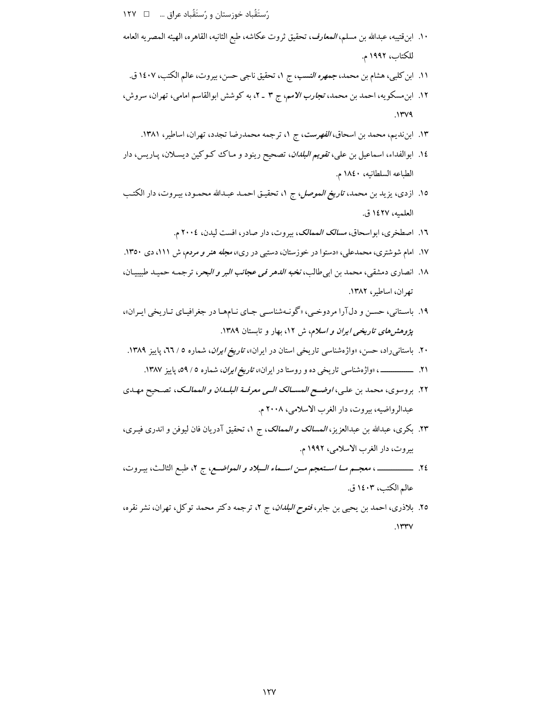رُستَقَّباد خوزستان و رُستَقَّباد عراق ... □ ١٢٧

- ١٠. ابن قتيبه، عبدالله بن مسلم، *المعارف*، تحقيق ثروت عكاشه، طبع الثانيه، القاهره، الهيئه المصريه العامه للكتاب، ١٩٩٢ م.
	- ١١. ابن كلبي، هشام بن محمد، جم*هره النسب*، ج ١، تحقيق ناجي حسن، بيروت، عالم الكتب، ١٤٠٧ ق.
- ۱۲. ابن مسکویه، احمد بن محمد، ت*جارب الامم*، ج ۳ ـ ۲، به کوشش ابوالقاسم امامی، تهران، سروش،  $.144$ 
	- ١٣. ابننديم، محمد بن اسحاق، *الفهرست*، ج ١، ترجمه محمدرضا تجدد، تهران، اساطير، ١٣٨١.
- ١٤. ابوالفداء، اسماعیل بن علی، *تقویم البلدان*، تصحیح رینود و مـاک ککوکین دیسـلان، پـاریس، دار الطباعه السلطانيه، ١٨٤٠ م.
- ١٥. ازدى، يزيد بن محمد، ت*اريخ الموصل*، ج ١، تحقيـق احمـد عبـدالله محمـود، بيـروت، دار الكتـب العلميه، ١٤٢٧ ق.
	- ١٦. اصطخرى، ابواسحاق، *مسالك الممالك*، بيروت، دار صادر، افست ليدن، ٢٠٠٤ م.
- ۱۷. امام شوشتری، محمدعلی، «دستوا در خوزستان، دستبی در ری»، *مجله هنر و مردم*، ش ۱۱۱، دی ۱۳۵۰.
- ١٨. انصاري دمشقي، محمد بن ابي طالب، *نخبه الدهر في عجائب البر و البحر*، ترجمـه حميـد طبيبيـان، تهران، اساطیر، ۱۳۸۲.
- ۱۹. باستانی، حسن و دلآرا مردوخیی، «گونـهشناسـی جـای نـامهـا در جغرافیـای تـاریخی ایـران»، *پژوهشهای تاریخی ایران و اسلام*، ش ۱۲، بهار و تابستان ۱۳۸۹.
- ۲۰. باستان<sub>ح</sub>راد، حسن، «واژهشناسی تاریخی استان در ایران»، *تاریخ ایران*، شماره ۵ / ٦٦، پاییز ۱۳۸۹.
	- ۲۱. ــــــــــــــــــــــــــــــــ «واژهشناسی تاریخی ده و روستا در ایران»، *تاریخ ایران*، شماره ٥ / ٥٩، پاییز ۱۳۸۷.
- ٢٢. بروسوى، محمد بن علي، *اوضـح المســـالك الــى معرفــة البلــدان و ال*مم*الــك*، تصـحيح مهـدى عبدالرواضيه، بيروت، دار الغرب الاسلامي، ٢٠٠٨ م.
- ۲۳. بكرى، عبدالله بن عبدالعزيز، *المسالك و الممالك*، ج ۱، تحقيق آدريان فان ليوفن و اندرى فيـرى، بيروت، دار الغرب الاسلامي، ١٩٩٢ م.
- ٢٤. ـــــــــــــــــــــ، معجـــم مـــا اســتعجم مــن اســماء الــبلاد و المواضــع، ج ٢، طبـع الثالـث، بيـروت، عالم الكتب، ١٤٠٣ ق.
- ٢٥. بلاذري، احمد بن يحيى بن جابر، *فتوح البلدان*، ج ٢، ترجمه دكتر محمد توكل، تهران، نشر نقره،  $.1$ ۳۳ $V$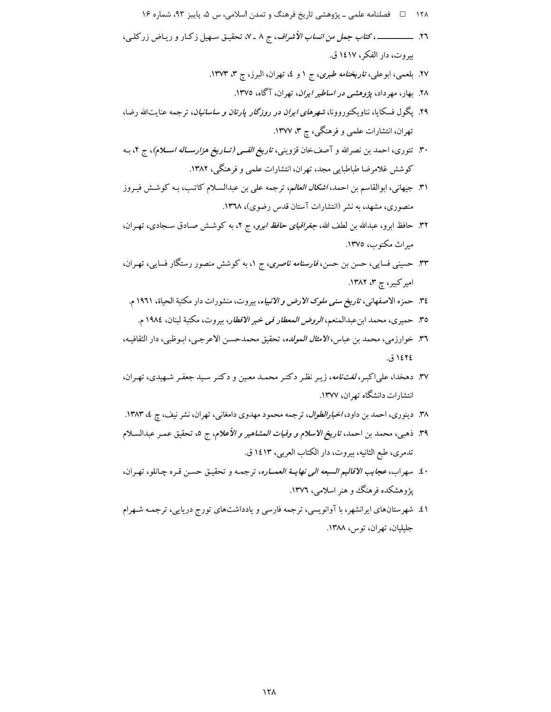- ۱۲۸ = اضلنامه علمی ـ پژوهشی تاریخ فرهنگ و تمدن اسلامی، س ۵، پاییز ۹۳، شماره ۱۶
- بيروت، دار الفكر ، ١٤١٧ ق.
	- ۲۷. بلعمی، ابوعلی، *تاریخنامه طبری*، ج ۱ و ٤، تهران، البرز، چ ۳، ۱۳۷۳.
		- ۲۸. بهار، مهرداد، *پژوهشی در اساطیر ایران*، تهران، آگاه، ۱۳۷۵.
- ۲۹. یگول فسکایا، نناویکتوروونا، *شهرهای ایران در روزگار یارتان و ساسانیان*، ترجمه عنایتالله رضا، تهران، انتشارات علمی و فرهنگی، چ ۳، ۱۳۷۷.
- ۳۰. تتوری، احمد بن نصرالله و آصفخان قزوینی، *تاریخ الفـی (تــاریخ هزارســاله اســلام*)، ج ۲، بـه کوشش غلامرضا طباطبایی مجد، تهران، انتشارات علمی و فرهنگی، ۱۳۸۲.
- ۳۱. جیهانی، ابوالقاسم بن احمد، *اشکال العالم*، ترجمه علی بن عبدالسـلام کاتـب، بـه کوشـش فیـروز منصوری، مشهد، به نشر (انتشارات آستان قدس رضوی)، ۱۳٦۸.
- ۳۲. حافظ ابرو، عبدالله بن لطف الله، *جغرافیای حافظ ابرو*، ج ۲، به کوشش صـادق سـجادی، تهـران، میراث مکتوب، ۱۳۷۵.
- ۳۳. حسینی فسایی، حسن بن حسن، *فارسنامه ناصری*، ج ۱، به کوشش منصور رستگار فسایی، تهـران، امیرکبیر، چ ۳، ۱۳۸۲.
	- ٣٤. حمزه الاصفهاني، ت*اريخ سنى ملوك الارض و الانبياء*، بيروت، منشورات دار مكتبة الحياة، ١٩٦١ م.
		- ٣٥. حميري، محمد ابن عبدالمنعم، *الروض المعطار في خبر الاقطار*، بيروت، مكتبة لبنان، ١٩٨٤ م.
- ٣٦. خوارزمي، محمد بن عباس، *الامثال المولده*، تحقيق محمدحسن الاعرجـي، ابـوظبي، دار الثقافيـه، ١٤٢٤ ق.
- ۳۷. دهخدا، علیاکبر، *لغتنامه*، زیـر نظـر دکتـر محمـد معـین و دکتـر سـید جعفـر شـهیدي، تهـران، انتشارات دانشگاه تهران، ۱۳۷۷.
- ۳۸. دینوری، احمد بن داود، *اخبارالطوال*، ترجمه محمود مهدوی دامغانی، تهران، نشر نیف، چ ٤، ۱۳۸۳.
- ۳۹. ذهبي، محمد بن احمد، *تاريخ الاسلام و وفيات المشاهير و الأعلام*، ج ٥، تحقيق عمـر عبدالسـلام تدمري، طبع الثانيه، بيروت، دار الكتاب العربي، ١٤١٣ ق.
- ٤٠. سهراب، *عجايب الاقاليم السبعه الى نهايــة العمــاره*، ترجمـه و تحقيـق حسـن قـره چـانلو، تهـران، یژوهشکده فرهنگ و هنر اسلامی، ۱۳۷۲.
- ۵٪. شهرستانهای ایرانشهر، با آوانویسی، ترجمه فارسی و یادداشتهای تورج دریایی، ترجمـه شـهرام جليليان، تهران، توس، ١٣٨٨.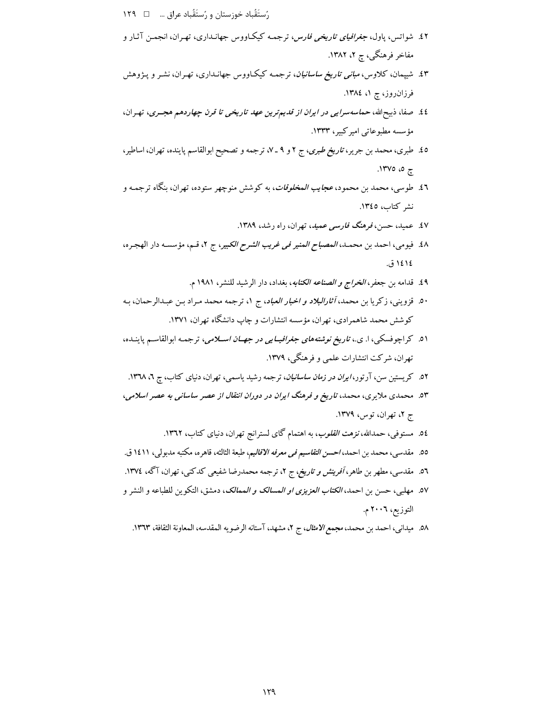- رُستَقَباد خوزستان و رُستَقَباد عراق …  $\Box$  ١٢٩
- ٤٢. شواتس، پاول، *جغرافیای تاریخی فارس*، ترجمـه کیکـاووس جهانـداری، تهـران، انجمـن آثـار و مفاخر فرهنگی، چ ۲، ۱۳۸۲.
- ٤٣. شیپمان، کلاوس،م*بانی تاریخ ساسانیان*، ترجمـه کیکـاووس جهانـداری، تهـران، نشـر و پـژوهش فرزان روز، چ ۱، ۱۳۸٤.
- ٤٤. صفا، ذبیحالله، حم*اسه سرایبی در ایران از قدیم ترین عهد تاریخی تا قرن چهاردهم هجـری*، تهـران، مؤسسه مطبوعاتی امیرکبیر، ۱۳۳۳.
- ٤٥. طبري، محمد بن جرير، ت*اريخ طبري*، ج ٢ و ٩ ـ ٧، ترجمه و تصحيح ابوالقاسم پاينده، تهران، اساطير، ې ۵، ۱۳۷۵.
- ٤٦. طوسي، محمد بن محمود، *عجايب المخلوقات*، به كوشش منوچهر ستوده، تهران، بنگاه ترجمـه و نشر كتاب، ١٣٤٥.
	- ٤٧. عمید، حسن، فرهنگ ف*ارسی عمید*، تهران، راه رشد، ۱۳۸۹.
- ٤٨. فيومي، احمد بن محمـد، *المصباح المنير في غريب الشرح الكبير*، ج ٢، قـم، مؤسسـه دار الهجره، ١٤١٤. ق.
	- ٤٩. قدامه بن جعفر، *الخراج و الصناعه الكتابه*، بغداد، دار الرشيد للنشر، ١٩٨١ م.
- ۵۰. قزوینی، زکریا بن محمد، *آثارالبلاد و اخبار العباد*، ج ۱، ترجمه محمد مـراد بـن عبـدالرحمان، بـه کوشش محمد شاهمرادی، تهران، مؤسسه انتشارات و چاپ دانشگاه تهران، ۱۳۷۱.
- ۵۱. کراچوفسکی، ا. ی.، ت*اریخ نوشتههای جغرافیــایی در جهــان اســلامی*، ترجمـه ابوالقاسـم پاینــده، تهران، شرکت انتشارات علمی و فرهنگی، ۱۳۷۹.
- ۰۲. کریستین سن، آرتور، *ایران در زمان ساسانیان*، ترجمه رشید یاسمی، تهران، دنیای کتاب، چ ۲، ۱۳۷۸.
- ۵۳. محمدی ملایری، محمد، تاریخ و فرهنگ ایران در دوران انتقال از عصر ساسانی به عصر اسلامی، ج ۲، تهران، توس، ۱۳۷۹.
	- 0٤. مستوفی، حمدالله،نز*هت القلوب*، به اهتمام گای لسترانج تهران، دنیای کتاب، ۱۳٦۲.
- 00. مقدسى، محمد بن احمد، *احسن التقاسيم في معرفه الاقاليم*، طبعة الثالثه، قاهره، مكتبه مدبولي، ١٤١١ ق.
- ٥٦. مقدسی، مطهر بن طاهر، *آفرینش و تاریخ، ج* ۲، ترجمه محمدرضا شفیعی کدکنی، تهران، آگه، ١٣٧٤.
- ٥٧. مهلبي، حسن بن احمد، *الكتاب العزيزي او المسالك و الممالك*، دمشق، التكوين للطباعه و النشر و التوزيع، ٢٠٠٦ م.
	- ٥٨. ميداني، احمد بن محمد، مجمع *الامثال*، ج ٢، مشهد، آستانه الرضويه المقدسه، المعاونة الثقافة، ١٣٦٣.